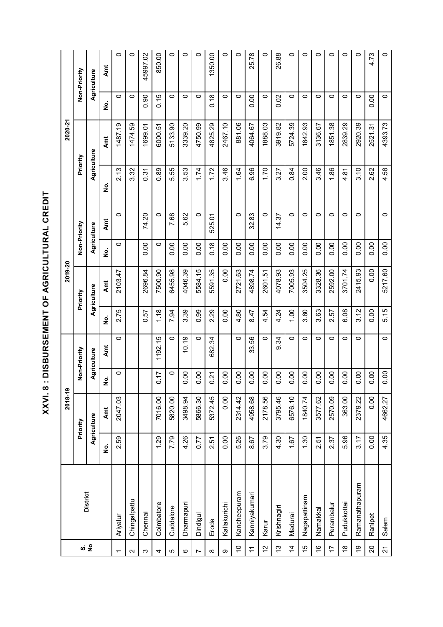XXVI. 8 : DISBURSEMENT OF AGRICULTURAL CREDIT **XXVI. 8 : DISBURSEMENT OF AGRICULTURAL CREDIT**

|                                 |                 |                    | 2018-19     |                |              |      | 2019-20     |          |              |          | 2020-21     |          |              |
|---------------------------------|-----------------|--------------------|-------------|----------------|--------------|------|-------------|----------|--------------|----------|-------------|----------|--------------|
|                                 |                 |                    | Priority    |                | Non-Priority |      | Priority    |          | Non-Priority | Priority |             |          | Non-Priority |
|                                 | <b>District</b> |                    | Agriculture |                | Agriculture  |      | Agriculture |          | Agriculture  |          | Agriculture |          | Agriculture  |
|                                 |                 | $\dot{\mathbf{z}}$ | Amt         | $\dot{Q}$<br>∠ | Amt          | ġ    | Amt         | <u>ş</u> | Amt          | ş        | Amt         | <u>ہ</u> | Amt          |
| $\overline{\phantom{0}}$        | Ariyalur        | 2.59               | 2047.03     | 0              | $\circ$      | 2.75 | 2103.47     | $\circ$  | $\circ$      | 2.13     | 1487.19     | $\circ$  | $\circ$      |
| $\sim$                          | Chingalpattu    |                    |             |                |              |      |             |          |              | 3.32     | 1474.59     | $\circ$  | $\circ$      |
| ω                               | Chennai         |                    |             |                |              | 0.57 | 2696.84     | 0.00     | 74.20        | 0.31     | 1699.01     | 0.90     | 45997.02     |
| 4                               | Coimbatore      | 1.29               | 7016.00     | 0.17           | 1192.15      | 1.18 | 7500.90     | $\circ$  | 0            | 0.89     | 6000.51     | 0.15     | 850.00       |
| 5                               | Cuddalore       | 7.79               | 5820.00     | $\circ$        | $\circ$      | 7.94 | 6455.98     | 0.00     | 7.68         | 5.55     | 5133.90     | $\circ$  | $\circ$      |
| 6                               | Dharmapuri      | 4.26               | 3498.94     | 0.00           | 10.19        | 3.39 | 4046.39     | 0.00     | 5.62         | 3.53     | 3339.20     | $\circ$  | $\circ$      |
| Z                               | Dindigul        | 0.77               | 5866.30     | 0.00           | $\circ$      | 0.99 | 5584.15     | 0.00     | 0            | 1.74     | 4750.99     | $\circ$  | $\circ$      |
| $\infty$                        | Erode           | 2.51               | 5372.45     | 0.21           | 682.34       | 2.29 | 5591.35     | 0.18     | 525.01       | 1.72     | 4825.29     | 0.18     | 1350.00      |
| σ                               | Kallakurichi    | 0.00               | 0.00        | 0.00           |              | 0.00 | 0.00        | 0.00     |              | 3.46     | 2467.10     | $\circ$  | $\circ$      |
| $\overline{0}$                  | Kancheepuram    | 5.26               | 2314.42     | 0.00           | $\circ$      | 4.80 | 2721.63     | 0.00     | 0            | 1.64     | 881.06      | 0        | $\circ$      |
| $\leftarrow$                    | Kanniyakumari   | 8.67               | 4958.68     | OO.            | 33.56        | 8.47 | 4898.74     | 0.00     | 32.83        | 6.96     | 4064.67     | 0.00     | 25.78        |
| 12                              | Karur           | 3.79               | 2178.56     | 0.00           | $\circ$      | 4.54 | 2601.51     | 0.00     | $\circ$      | 1.70     | 1888.03     | $\circ$  | $\circ$      |
| $\frac{3}{2}$                   | Krishnagiri     | 4.30               | 3795.46     | OO.            | 9.34         | 4.24 | 4078.93     | 0.00     | 14.37        | 3.27     | 3919.82     | 0.02     | 88<br>26.    |
| $\overline{4}$                  | Madurai         | 1.67               | 6576.10     | 0.00           | $\circ$      | 1.00 | 7005.93     | 0.00     | $\circ$      | 0.84     | 5724.39     | $\circ$  | $\circ$      |
| 15                              | Nagapattinam    | 1.30               | 1840.74     | OO.            | $\circ$      | 3.80 | 3504.25     | 0.00     | 0            | 2.00     | 1842.93     | $\circ$  | $\circ$      |
| $\overset{\circ}{=}$            | Namakkal        | 2.51               | 3577.62     | OO.            | $\circ$      | 3.63 | 3328.36     | 0.00     | 0            | 3.46     | 3136.67     | $\circ$  | $\circ$      |
| 17                              | Perambalur      | 2.37               | 2570.09     | OO.            | $\circ$      | 2.57 | 2592.00     | 0.00     | $\circ$      | 1.86     | 1851.38     | $\circ$  | $\circ$      |
| $\overset{\infty}{\rightarrow}$ | Pudukkottai     | 5.96               | 363.00      | $\overline{0}$ | $\circ$      | 6.08 | 3701.74     | 0.00     | 0            | 4.81     | 2839.29     | $\circ$  | $\circ$      |
| စ္                              | Ramanathapuram  | 3.17               | 2379.22     | OO.            | $\circ$      | 3.12 | 2415.93     | 0.00     | $\circ$      | 3.10     | 2920.39     | 0        | $\circ$      |
| $\Omega$                        | Ranipet         | 0.00               | 0.00        | 0.00           |              | 0.00 | 0.00        | 0.00     |              | 2.62     | 2521.31     | 0.00     | 4.73         |
| <u>প</u>                        | Salem           | 4.35               | 4662.27     | 0.00           | $\circ$      | 5.15 | 5217.60     | 0.00     | $\circ$      | 4.58     | 4393.73     | $\circ$  | $\circ$      |